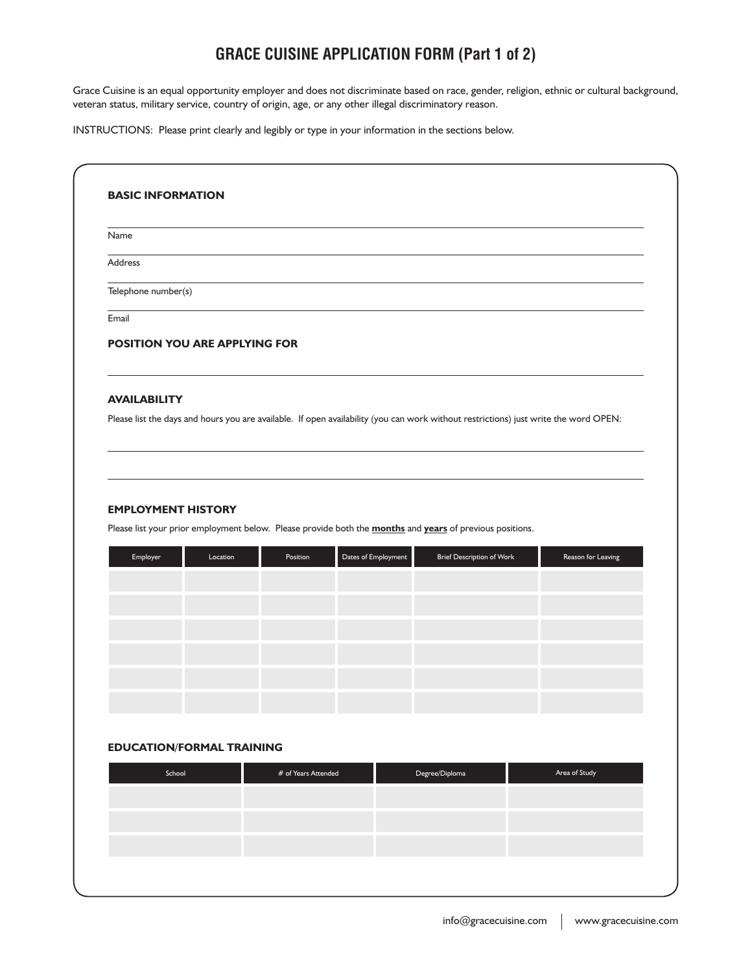# **GRACE CUISINE APPLICATION FORM (Part 1 of 2)**

Grace Cuisine is an equal opportunity employer and does not discriminate based on race, gender, religion, ethnic or cultural background, veteran status, military service, country of origin, age, or any other illegal discriminatory reason.

INSTRUCTIONS: Please print clearly and legibly or type in your information in the sections below.

| Name                                                                                                                                                        |                     |                     |                                  |                    |
|-------------------------------------------------------------------------------------------------------------------------------------------------------------|---------------------|---------------------|----------------------------------|--------------------|
| Address                                                                                                                                                     |                     |                     |                                  |                    |
| Telephone number(s)                                                                                                                                         |                     |                     |                                  |                    |
| Email                                                                                                                                                       |                     |                     |                                  |                    |
| POSITION YOU ARE APPLYING FOR                                                                                                                               |                     |                     |                                  |                    |
| <b>AVAILABILITY</b><br>Please list the days and hours you are available. If open availability (you can work without restrictions) just write the word OPEN: |                     |                     |                                  |                    |
|                                                                                                                                                             |                     |                     |                                  |                    |
|                                                                                                                                                             |                     |                     |                                  |                    |
|                                                                                                                                                             |                     |                     |                                  |                    |
|                                                                                                                                                             |                     |                     |                                  |                    |
|                                                                                                                                                             |                     |                     |                                  |                    |
| Employer<br>Location                                                                                                                                        | Position            | Dates of Employment | <b>Brief Description of Work</b> | Reason for Leaving |
|                                                                                                                                                             |                     |                     |                                  |                    |
|                                                                                                                                                             |                     |                     |                                  |                    |
|                                                                                                                                                             |                     |                     |                                  |                    |
|                                                                                                                                                             |                     |                     |                                  |                    |
| <b>EMPLOYMENT HISTORY</b><br>Please list your prior employment below. Please provide both the <b>months</b> and years of previous positions.                |                     |                     |                                  |                    |
|                                                                                                                                                             |                     |                     |                                  |                    |
|                                                                                                                                                             |                     |                     |                                  |                    |
|                                                                                                                                                             |                     |                     |                                  |                    |
| <b>EDUCATION/FORMAL TRAINING</b><br>School                                                                                                                  | # of Years Attended |                     | Degree/Diploma                   | Area of Study      |
|                                                                                                                                                             |                     |                     |                                  |                    |